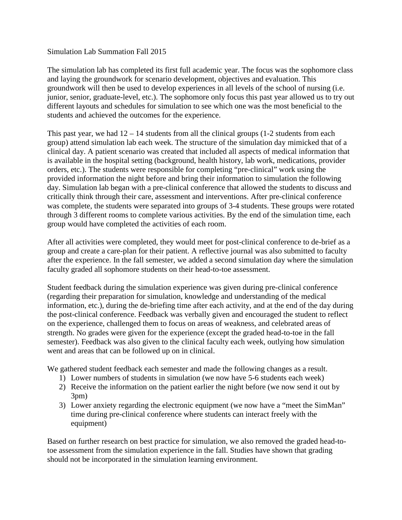## Simulation Lab Summation Fall 2015

The simulation lab has completed its first full academic year. The focus was the sophomore class and laying the groundwork for scenario development, objectives and evaluation. This groundwork will then be used to develop experiences in all levels of the school of nursing (i.e. junior, senior, graduate-level, etc.). The sophomore only focus this past year allowed us to try out different layouts and schedules for simulation to see which one was the most beneficial to the students and achieved the outcomes for the experience.

This past year, we had  $12 - 14$  students from all the clinical groups  $(1-2)$  students from each group) attend simulation lab each week. The structure of the simulation day mimicked that of a clinical day. A patient scenario was created that included all aspects of medical information that is available in the hospital setting (background, health history, lab work, medications, provider orders, etc.). The students were responsible for completing "pre-clinical" work using the provided information the night before and bring their information to simulation the following day. Simulation lab began with a pre-clinical conference that allowed the students to discuss and critically think through their care, assessment and interventions. After pre-clinical conference was complete, the students were separated into groups of 3-4 students. These groups were rotated through 3 different rooms to complete various activities. By the end of the simulation time, each group would have completed the activities of each room.

After all activities were completed, they would meet for post-clinical conference to de-brief as a group and create a care-plan for their patient. A reflective journal was also submitted to faculty after the experience. In the fall semester, we added a second simulation day where the simulation faculty graded all sophomore students on their head-to-toe assessment.

Student feedback during the simulation experience was given during pre-clinical conference (regarding their preparation for simulation, knowledge and understanding of the medical information, etc.), during the de-briefing time after each activity, and at the end of the day during the post-clinical conference. Feedback was verbally given and encouraged the student to reflect on the experience, challenged them to focus on areas of weakness, and celebrated areas of strength. No grades were given for the experience (except the graded head-to-toe in the fall semester). Feedback was also given to the clinical faculty each week, outlying how simulation went and areas that can be followed up on in clinical.

We gathered student feedback each semester and made the following changes as a result.

- 1) Lower numbers of students in simulation (we now have 5-6 students each week)
- 2) Receive the information on the patient earlier the night before (we now send it out by 3pm)
- 3) Lower anxiety regarding the electronic equipment (we now have a "meet the SimMan" time during pre-clinical conference where students can interact freely with the equipment)

Based on further research on best practice for simulation, we also removed the graded head-totoe assessment from the simulation experience in the fall. Studies have shown that grading should not be incorporated in the simulation learning environment.